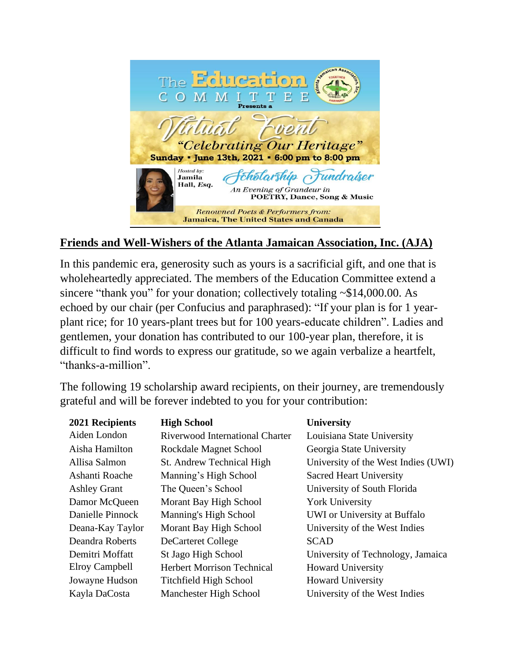

## **Friends and Well-Wishers of the Atlanta Jamaican Association, Inc. (AJA)**

In this pandemic era, generosity such as yours is a sacrificial gift, and one that is wholeheartedly appreciated. The members of the Education Committee extend a sincere "thank you" for your donation; collectively totaling ~\$14,000.00. As echoed by our chair (per Confucius and paraphrased): "If your plan is for 1 yearplant rice; for 10 years-plant trees but for 100 years-educate children". Ladies and gentlemen, your donation has contributed to our 100-year plan, therefore, it is difficult to find words to express our gratitude, so we again verbalize a heartfelt, "thanks-a-million".

The following 19 scholarship award recipients, on their journey, are tremendously grateful and will be forever indebted to you for your contribution:

| 2021 Recipients     | <b>High School</b>                | <b>University</b>                   |
|---------------------|-----------------------------------|-------------------------------------|
| Aiden London        | Riverwood International Charter   | Louisiana State University          |
| Aisha Hamilton      | Rockdale Magnet School            | Georgia State University            |
| Allisa Salmon       | St. Andrew Technical High         | University of the West Indies (UWI) |
| Ashanti Roache      | Manning's High School             | <b>Sacred Heart University</b>      |
| <b>Ashley Grant</b> | The Queen's School                | University of South Florida         |
| Damor McQueen       | Morant Bay High School            | <b>York University</b>              |
| Danielle Pinnock    | Manning's High School             | UWI or University at Buffalo        |
| Deana-Kay Taylor    | Morant Bay High School            | University of the West Indies       |
| Deandra Roberts     | <b>DeCarteret College</b>         | <b>SCAD</b>                         |
| Demitri Moffatt     | St Jago High School               | University of Technology, Jamaica   |
| Elroy Campbell      | <b>Herbert Morrison Technical</b> | <b>Howard University</b>            |
| Jowayne Hudson      | <b>Titchfield High School</b>     | <b>Howard University</b>            |
| Kayla DaCosta       | Manchester High School            | University of the West Indies       |